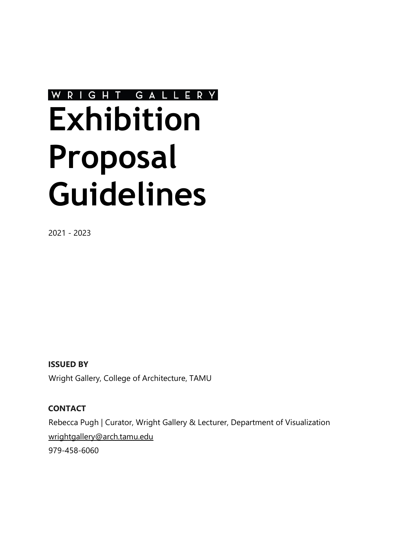# WRIGHT GALLERY **Exhibition Proposal Guidelines**

2021 - 2023

**ISSUED BY**  Wright Gallery, College of Architecture, TAMU

### **CONTACT**

Rebecca Pugh | Curator, Wright Gallery & Lecturer, Department of Visualization [wrightgallery@arch.tamu.edu](mailto:wrightgallery@arch.tamu.edu) 

979-458-6060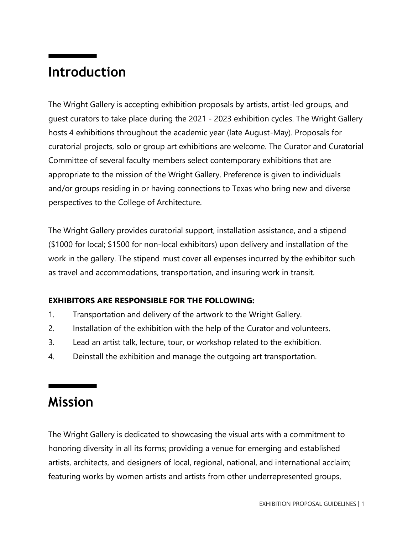### **Introduction**

The Wright Gallery is accepting exhibition proposals by artists, artist-led groups, and guest curators to take place during the 2021 - 2023 exhibition cycles. The Wright Gallery hosts 4 exhibitions throughout the academic year (late August-May). Proposals for curatorial projects, solo or group art exhibitions are welcome. The Curator and Curatorial Committee of several faculty members select contemporary exhibitions that are appropriate to the mission of the Wright Gallery. Preference is given to individuals and/or groups residing in or having connections to Texas who bring new and diverse perspectives to the College of Architecture.

The Wright Gallery provides curatorial support, installation assistance, and a stipend (\$1000 for local; \$1500 for non-local exhibitors) upon delivery and installation of the work in the gallery. The stipend must cover all expenses incurred by the exhibitor such as travel and accommodations, transportation, and insuring work in transit.

### **EXHIBITORS ARE RESPONSIBLE FOR THE FOLLOWING:**

- 1. Transportation and delivery of the artwork to the Wright Gallery.
- 2. Installation of the exhibition with the help of the Curator and volunteers.
- 3. Lead an artist talk, lecture, tour, or workshop related to the exhibition.
- 4. Deinstall the exhibition and manage the outgoing art transportation.

### **Mission**

The Wright Gallery is dedicated to showcasing the visual arts with a commitment to honoring diversity in all its forms; providing a venue for emerging and established artists, architects, and designers of local, regional, national, and international acclaim; featuring works by women artists and artists from other underrepresented groups,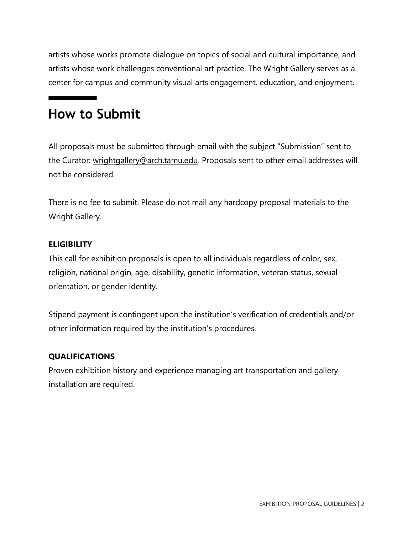artists whose works promote dialogue on topics of social and cultural importance, and artists whose work challenges conventional art practice. The Wright Gallery serves as a center for campus and community visual arts engagement, education, and enjoyment.

### **How to Submit**

All proposals must be submitted through email with the subject "Submission" sent to the Curator: [wrightgallery@arch.tamu.edu.](mailto:wrightgallery@arch.tamu.edu) Proposals sent to other email addresses will not be considered.

There is no fee to submit. Please do not mail any hardcopy proposal materials to the Wright Gallery.

#### **ELIGIBILITY**

This call for exhibition proposals is open to all individuals regardless of color, sex, religion, national origin, age, disability, genetic information, veteran status, sexual orientation, or gender identity.

Stipend payment is contingent upon the institution's verification of credentials and/or other information required by the institution's procedures.

#### **QUALIFICATIONS**

Proven exhibition history and experience managing art transportation and gallery installation are required.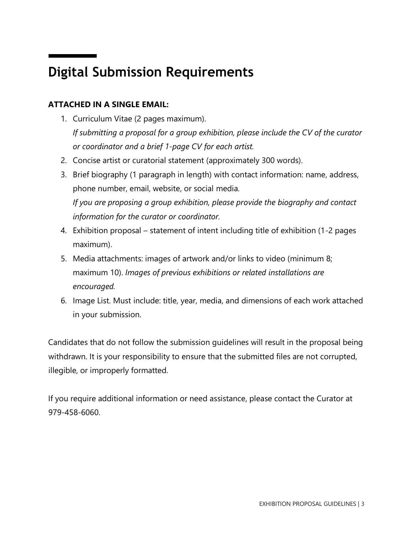# **Digital Submission Requirements**

### **ATTACHED IN A SINGLE EMAIL:**

- 1. Curriculum Vitae (2 pages maximum). *If submitting a proposal for a group exhibition, please include the CV of the curator or coordinator and a brief 1-page CV for each artist.*
- 2. Concise artist or curatorial statement (approximately 300 words).
- 3. Brief biography (1 paragraph in length) with contact information: name, address, phone number, email, website, or social media. *If you are proposing a group exhibition, please provide the biography and contact information for the curator or coordinator.*
- 4. Exhibition proposal statement of intent including title of exhibition (1-2 pages maximum).
- 5. Media attachments: images of artwork and/or links to video (minimum 8; maximum 10). *Images of previous exhibitions or related installations are encouraged.*
- 6. Image List. Must include: title, year, media, and dimensions of each work attached in your submission.

Candidates that do not follow the submission guidelines will result in the proposal being withdrawn. It is your responsibility to ensure that the submitted files are not corrupted, illegible, or improperly formatted.

If you require additional information or need assistance, please contact the Curator at 979-458-6060.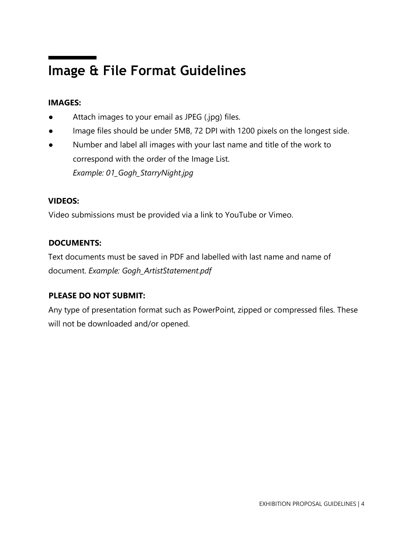# **Image & File Format Guidelines**

### **IMAGES:**

- Attach images to your email as JPEG (.jpg) files.
- Image files should be under 5MB, 72 DPI with 1200 pixels on the longest side.
- Number and label all images with your last name and title of the work to correspond with the order of the Image List. *Example: 01\_Gogh\_StarryNight.jpg*

#### **VIDEOS:**

Video submissions must be provided via a link to YouTube or Vimeo.

### **DOCUMENTS:**

Text documents must be saved in PDF and labelled with last name and name of document. *Example: Gogh\_ArtistStatement.pdf* 

### **PLEASE DO NOT SUBMIT:**

Any type of presentation format such as PowerPoint, zipped or compressed files. These will not be downloaded and/or opened.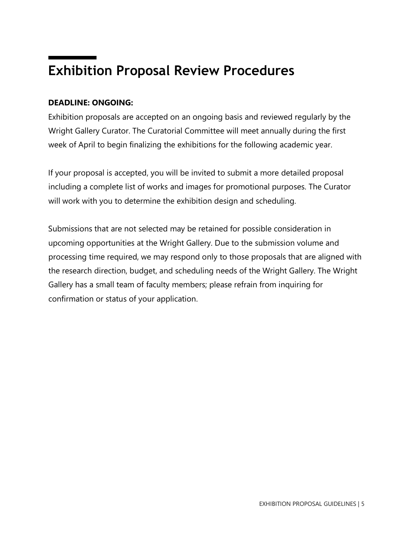## **Exhibition Proposal Review Procedures**

#### **DEADLINE: ONGOING:**

Exhibition proposals are accepted on an ongoing basis and reviewed regularly by the Wright Gallery Curator. The Curatorial Committee will meet annually during the first week of April to begin finalizing the exhibitions for the following academic year.

If your proposal is accepted, you will be invited to submit a more detailed proposal including a complete list of works and images for promotional purposes. The Curator will work with you to determine the exhibition design and scheduling.

Submissions that are not selected may be retained for possible consideration in upcoming opportunities at the Wright Gallery. Due to the submission volume and processing time required, we may respond only to those proposals that are aligned with the research direction, budget, and scheduling needs of the Wright Gallery. The Wright Gallery has a small team of faculty members; please refrain from inquiring for confirmation or status of your application.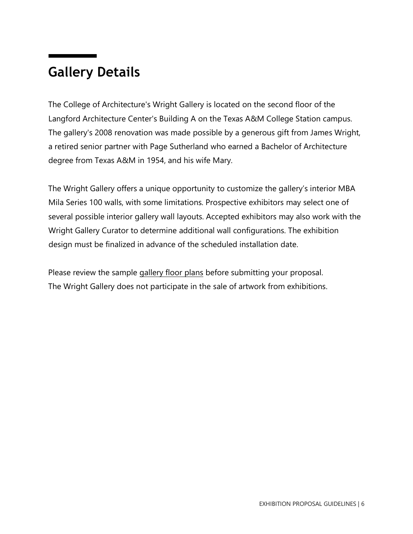### **Gallery Details**

The College of Architecture's Wright Gallery is located on the second floor of the Langford Architecture Center's Building A on the Texas A&M College Station campus. The gallery's 2008 renovation was made possible by a generous gift from James Wright, a retired senior partner with Page Sutherland who earned a Bachelor of Architecture degree from Texas A&M in 1954, and his wife Mary.

The Wright Gallery offers a unique opportunity to customize the gallery's interior MBA Mila Series 100 walls, with some limitations. Prospective exhibitors may select one of several possible interior gallery wall layouts. Accepted exhibitors may also work with the Wright Gallery Curator to determine additional wall configurations. The exhibition design must be finalized in advance of the scheduled installation date.

Please review the sample [gallery floor plans](https://drive.google.com/drive/folders/1HL9OIX_2a3Zg6XfY9yRQW2MTqigQ_OuY) before submitting your proposal. The Wright Gallery does not participate in the sale of artwork from exhibitions.